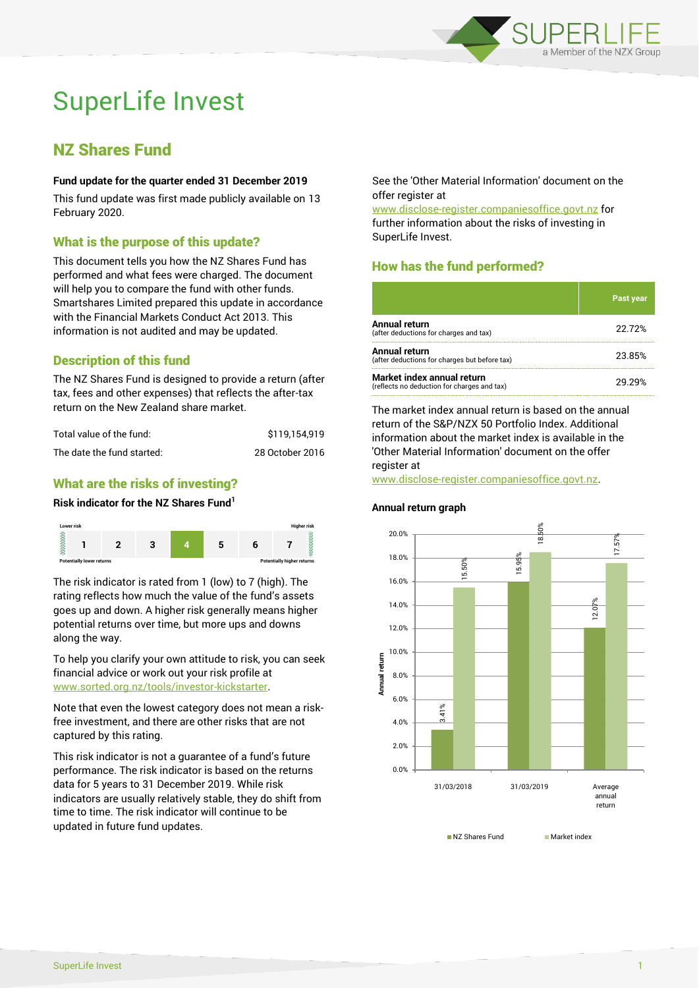

# SuperLife Invest

# NZ Shares Fund

# **Fund update for the quarter ended 31 December 2019**

This fund update was first made publicly available on 13 February 2020.

# What is the purpose of this update?

This document tells you how the NZ Shares Fund has performed and what fees were charged. The document will help you to compare the fund with other funds. Smartshares Limited prepared this update in accordance with the Financial Markets Conduct Act 2013. This information is not audited and may be updated.

# Description of this fund

The NZ Shares Fund is designed to provide a return (after tax, fees and other expenses) that reflects the after-tax return on the New Zealand share market.

| Total value of the fund:   | \$119.154.919   |
|----------------------------|-----------------|
| The date the fund started: | 28 October 2016 |

# What are the risks of investing?

#### **Risk indicator for the NZ Shares Fund<sup>1</sup>**



The risk indicator is rated from 1 (low) to 7 (high). The rating reflects how much the value of the fund's assets goes up and down. A higher risk generally means higher potential returns over time, but more ups and downs along the way.

To help you clarify your own attitude to risk, you can seek financial advice or work out your risk profile at [www.sorted.org.nz/tools/investor-kickstarter.](http://www.sorted.org.nz/tools/investor-kickstarter)

Note that even the lowest category does not mean a riskfree investment, and there are other risks that are not captured by this rating.

This risk indicator is not a guarantee of a fund's future performance. The risk indicator is based on the returns data for 5 years to 31 December 2019. While risk indicators are usually relatively stable, they do shift from time to time. The risk indicator will continue to be updated in future fund updates.

See the 'Other Material Information' document on the offer register at

www.disclose-register.companiesoffice.govt.nz for further information about the risks of investing in SuperLife Invest.

# How has the fund performed?

|                                                                           | <b>Past year</b> |
|---------------------------------------------------------------------------|------------------|
| <b>Annual return</b><br>(after deductions for charges and tax)            | 22.72%           |
| Annual return<br>(after deductions for charges but before tax)            | 23.85%           |
| Market index annual return<br>(reflects no deduction for charges and tax) | 29 29%           |

The market index annual return is based on the annual return of the S&P/NZX 50 Portfolio Index. Additional information about the market index is available in the 'Other Material Information' document on the offer register at

www.disclose-register.companiesoffice.govt.nz.

#### 15.95% 15.50% 18.50% 14.0% 16.0% 18.0% 20.0%

**Annual return graph**



NZ Shares Fund Market index

17.57%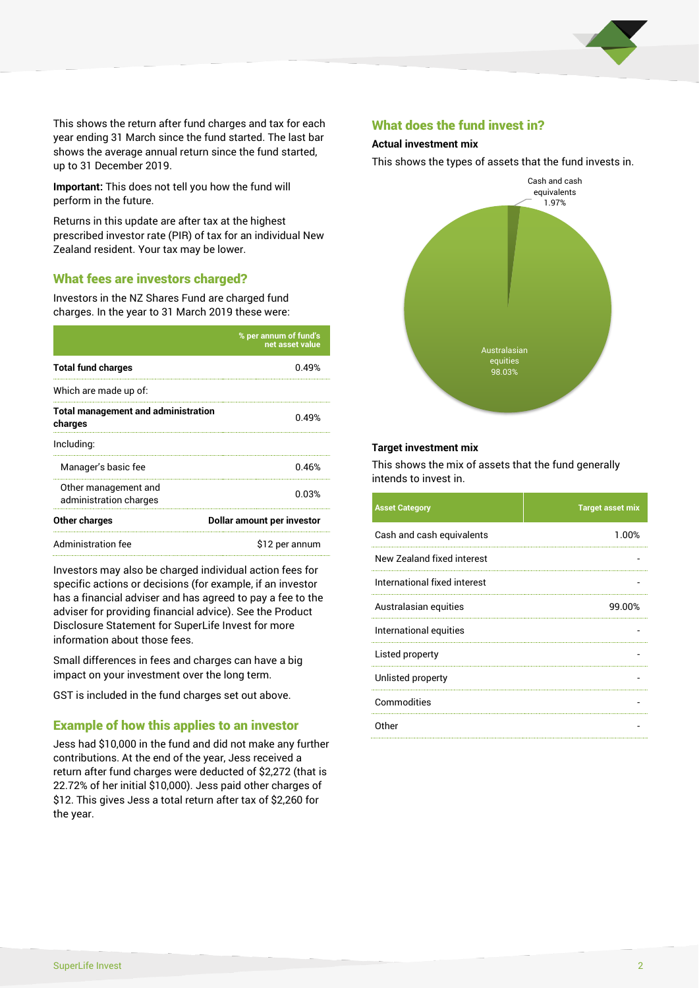

This shows the return after fund charges and tax for each year ending 31 March since the fund started. The last bar shows the average annual return since the fund started, up to 31 December 2019.

**Important:** This does not tell you how the fund will perform in the future.

Returns in this update are after tax at the highest prescribed investor rate (PIR) of tax for an individual New Zealand resident. Your tax may be lower.

# What fees are investors charged?

Investors in the NZ Shares Fund are charged fund charges. In the year to 31 March 2019 these were:

|                                                       | % per annum of fund's<br>net asset value |  |
|-------------------------------------------------------|------------------------------------------|--|
| <b>Total fund charges</b>                             | በ 49%                                    |  |
| Which are made up of:                                 |                                          |  |
| <b>Total management and administration</b><br>charges | 0.49%                                    |  |
| Including:                                            |                                          |  |
| Manager's basic fee                                   | 0.46%                                    |  |
| Other management and<br>administration charges        | 0.03%                                    |  |
| Other charges                                         | Dollar amount per investor               |  |
| Administration fee                                    | \$12 per annum                           |  |

Investors may also be charged individual action fees for specific actions or decisions (for example, if an investor has a financial adviser and has agreed to pay a fee to the adviser for providing financial advice). See the Product Disclosure Statement for SuperLife Invest for more information about those fees.

Small differences in fees and charges can have a big impact on your investment over the long term.

GST is included in the fund charges set out above.

# Example of how this applies to an investor

Jess had \$10,000 in the fund and did not make any further contributions. At the end of the year, Jess received a return after fund charges were deducted of \$2,272 (that is 22.72% of her initial \$10,000). Jess paid other charges of \$12. This gives Jess a total return after tax of \$2,260 for the year.

# What does the fund invest in?

#### **Actual investment mix**

This shows the types of assets that the fund invests in.



#### **Target investment mix**

This shows the mix of assets that the fund generally intends to invest in.

| <b>Asset Category</b>        | <b>Target asset mix</b> |
|------------------------------|-------------------------|
| Cash and cash equivalents    | 1.00%                   |
| New Zealand fixed interest   |                         |
| International fixed interest |                         |
| Australasian equities        | 99.00%                  |
| International equities       |                         |
| Listed property              |                         |
| Unlisted property            |                         |
| Commodities                  |                         |
| Other                        |                         |